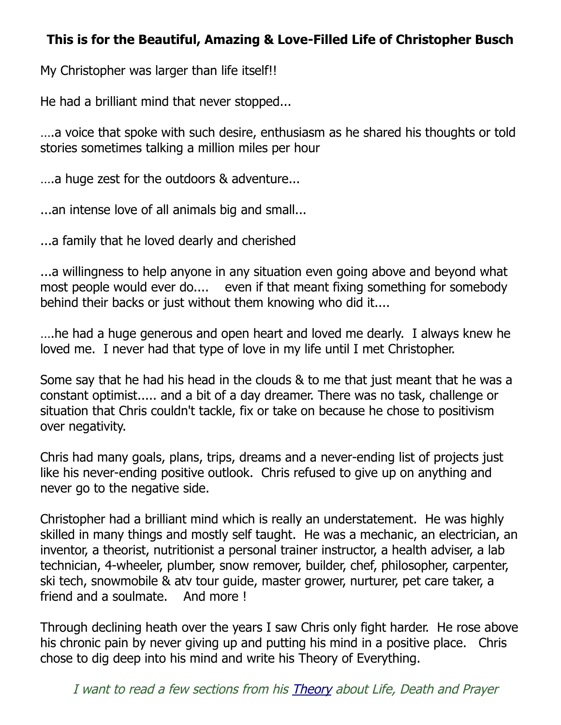## **This is for the Beautiful, Amazing & Love-Filled Life of Christopher Busch**

My Christopher was larger than life itself!!

He had a brilliant mind that never stopped...

….a voice that spoke with such desire, enthusiasm as he shared his thoughts or told stories sometimes talking a million miles per hour

….a huge zest for the outdoors & adventure...

...an intense love of all animals big and small...

...a family that he loved dearly and cherished

...a willingness to help anyone in any situation even going above and beyond what most people would ever do.... even if that meant fixing something for somebody behind their backs or just without them knowing who did it....

….he had a huge generous and open heart and loved me dearly. I always knew he loved me. I never had that type of love in my life until I met Christopher.

Some say that he had his head in the clouds & to me that just meant that he was a constant optimist..... and a bit of a day dreamer. There was no task, challenge or situation that Chris couldn't tackle, fix or take on because he chose to positivism over negativity.

Chris had many goals, plans, trips, dreams and a never-ending list of projects just like his never-ending positive outlook. Chris refused to give up on anything and never go to the negative side.

Christopher had a brilliant mind which is really an understatement. He was highly skilled in many things and mostly self taught. He was a mechanic, an electrician, an inventor, a theorist, nutritionist a personal trainer instructor, a health adviser, a lab technician, 4-wheeler, plumber, snow remover, builder, chef, philosopher, carpenter, ski tech, snowmobile & atv tour guide, master grower, nurturer, pet care taker, a friend and a soulmate. And more !

Through declining heath over the years I saw Chris only fight harder. He rose above his chronic pain by never giving up and putting his mind in a positive place. Chris chose to dig deep into his mind and write his Theory of Everything.

I want to read a few sections from his [Theory](http://christopherbusch.com/) about Life, Death and Prayer